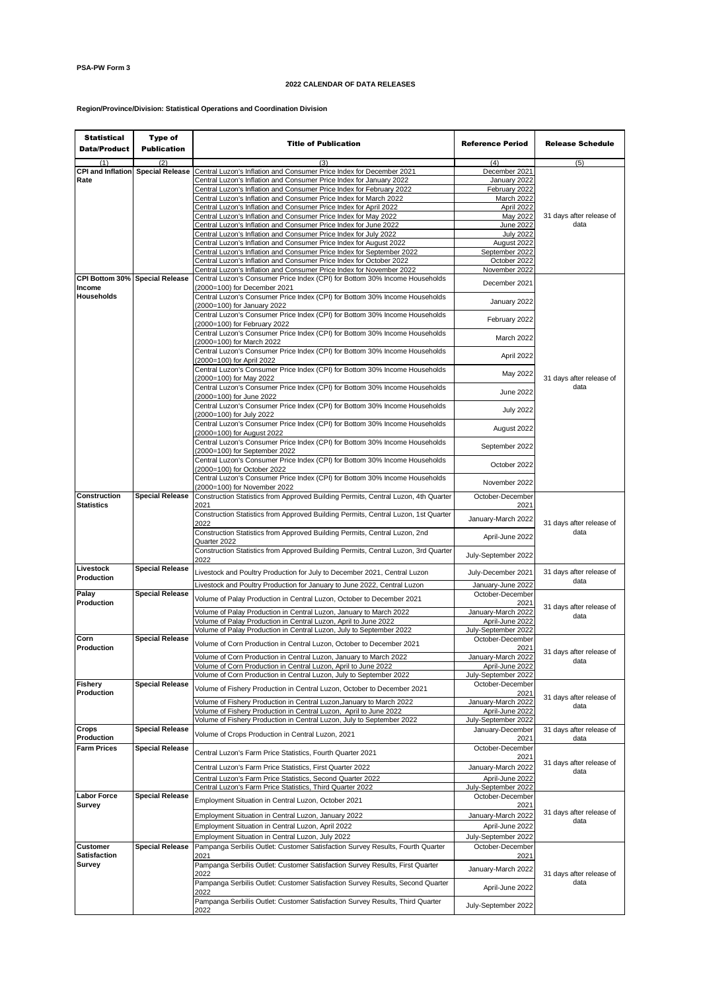## **2022 CALENDAR OF DATA RELEASES**

## **Region/Province/Division: Statistical Operations and Coordination Division**

| <b>Statistical</b><br><b>Data/Product</b> | Type of<br><b>Publication</b> | <b>Title of Publication</b>                                                                                                                           | <b>Reference Period</b>                 | <b>Release Schedule</b>          |
|-------------------------------------------|-------------------------------|-------------------------------------------------------------------------------------------------------------------------------------------------------|-----------------------------------------|----------------------------------|
| (1)                                       |                               |                                                                                                                                                       | (4)                                     | (5)                              |
| <b>CPI and Inflation</b>                  | <b>Special Release</b>        | Central Luzon's Inflation and Consumer Price Index for December 2021                                                                                  | December 2021                           |                                  |
| Rate                                      |                               | Central Luzon's Inflation and Consumer Price Index for January 2022                                                                                   | January 2022                            |                                  |
|                                           |                               | Central Luzon's Inflation and Consumer Price Index for February 2022                                                                                  | February 2022                           |                                  |
|                                           |                               | Central Luzon's Inflation and Consumer Price Index for March 2022                                                                                     | March 2022                              |                                  |
|                                           |                               | Central Luzon's Inflation and Consumer Price Index for April 2022                                                                                     | April 2022                              |                                  |
|                                           |                               | Central Luzon's Inflation and Consumer Price Index for May 2022                                                                                       | May 2022                                | 31 days after release of         |
|                                           |                               | Central Luzon's Inflation and Consumer Price Index for June 2022                                                                                      | June 2022                               | data                             |
|                                           |                               | Central Luzon's Inflation and Consumer Price Index for July 2022                                                                                      | <b>July 2022</b>                        |                                  |
|                                           |                               | Central Luzon's Inflation and Consumer Price Index for August 2022                                                                                    | August 2022                             |                                  |
|                                           |                               | Central Luzon's Inflation and Consumer Price Index for September 2022                                                                                 | September 2022                          |                                  |
|                                           |                               | Central Luzon's Inflation and Consumer Price Index for October 2022                                                                                   | October 2022                            |                                  |
|                                           |                               | Central Luzon's Inflation and Consumer Price Index for November 2022                                                                                  | November 2022                           |                                  |
| CPI Bottom 30% Special Release            |                               | Central Luzon's Consumer Price Index (CPI) for Bottom 30% Income Households                                                                           | December 2021                           |                                  |
| Income                                    |                               | (2000=100) for December 2021                                                                                                                          |                                         |                                  |
| Households                                |                               | Central Luzon's Consumer Price Index (CPI) for Bottom 30% Income Households<br>(2000=100) for January 2022                                            | January 2022                            |                                  |
|                                           |                               | Central Luzon's Consumer Price Index (CPI) for Bottom 30% Income Households<br>(2000=100) for February 2022                                           | February 2022                           |                                  |
|                                           |                               | Central Luzon's Consumer Price Index (CPI) for Bottom 30% Income Households<br>(2000=100) for March 2022                                              | March 2022                              |                                  |
|                                           |                               | Central Luzon's Consumer Price Index (CPI) for Bottom 30% Income Households<br>(2000=100) for April 2022                                              | April 2022                              |                                  |
|                                           |                               | Central Luzon's Consumer Price Index (CPI) for Bottom 30% Income Households<br>(2000=100) for May 2022                                                | May 2022                                | 31 days after release of         |
|                                           |                               | Central Luzon's Consumer Price Index (CPI) for Bottom 30% Income Households<br>(2000=100) for June 2022                                               | June 2022                               | data                             |
|                                           |                               | Central Luzon's Consumer Price Index (CPI) for Bottom 30% Income Households<br>(2000=100) for July 2022                                               | <b>July 2022</b>                        |                                  |
|                                           |                               | Central Luzon's Consumer Price Index (CPI) for Bottom 30% Income Households                                                                           | August 2022                             |                                  |
|                                           |                               | (2000=100) for August 2022<br>Central Luzon's Consumer Price Index (CPI) for Bottom 30% Income Households                                             | September 2022                          |                                  |
|                                           |                               | (2000=100) for September 2022<br>Central Luzon's Consumer Price Index (CPI) for Bottom 30% Income Households                                          | October 2022                            |                                  |
|                                           |                               | (2000=100) for October 2022<br>Central Luzon's Consumer Price Index (CPI) for Bottom 30% Income Households                                            | November 2022                           |                                  |
|                                           |                               | (2000=100) for November 2022                                                                                                                          |                                         |                                  |
| Construction<br><b>Statistics</b>         | <b>Special Release</b>        | Construction Statistics from Approved Building Permits, Central Luzon, 4th Quarter<br>2021                                                            | October-December<br>2021                |                                  |
|                                           |                               | Construction Statistics from Approved Building Permits, Central Luzon, 1st Quarter<br>2022                                                            | January-March 2022                      | 31 days after release of         |
|                                           |                               | Construction Statistics from Approved Building Permits, Central Luzon, 2nd<br>Quarter 2022                                                            | April-June 2022                         | data                             |
|                                           |                               | Construction Statistics from Approved Building Permits, Central Luzon, 3rd Quarter<br>2022                                                            | July-September 2022                     |                                  |
| Livestock<br>Production                   | <b>Special Release</b>        | Livestock and Poultry Production for July to December 2021, Central Luzon<br>Livestock and Poultry Production for January to June 2022, Central Luzon | July-December 2021<br>January-June 2022 | 31 days after release of<br>data |
| Palay<br>Production                       | <b>Special Release</b>        | Volume of Palay Production in Central Luzon, October to December 2021                                                                                 | October-December<br>2021                |                                  |
|                                           |                               | Volume of Palay Production in Central Luzon, January to March 2022                                                                                    | January-March 2022                      | 31 days after release of<br>data |
|                                           |                               | Volume of Palay Production in Central Luzon, April to June 2022                                                                                       | April-June 2022                         |                                  |
|                                           |                               | Volume of Palay Production in Central Luzon, July to September 2022                                                                                   | July-September 2022                     |                                  |
| Corn                                      | <b>Special Release</b>        | Volume of Corn Production in Central Luzon, October to December 2021                                                                                  | October-December                        |                                  |
| Production                                |                               |                                                                                                                                                       | 2021                                    | 31 days after release of         |
|                                           |                               | Volume of Corn Production in Central Luzon, January to March 2022<br>Volume of Corn Production in Central Luzon, April to June 2022                   | January-March 2022<br>April-June 2022   | data                             |
|                                           |                               | Volume of Corn Production in Central Luzon, July to September 2022                                                                                    | July-September 2022                     |                                  |
| <b>Fishery</b>                            | <b>Special Release</b>        |                                                                                                                                                       | October-December                        |                                  |
| Production                                |                               | Volume of Fishery Production in Central Luzon, October to December 2021                                                                               | 2021                                    |                                  |
|                                           |                               | Volume of Fishery Production in Central Luzon, January to March 2022                                                                                  | January-March 2022                      | 31 days after release of         |
|                                           |                               | Volume of Fishery Production in Central Luzon, April to June 2022                                                                                     | April-June 2022                         | data                             |
|                                           |                               | Volume of Fishery Production in Central Luzon, July to September 2022                                                                                 | July-September 2022                     |                                  |
| Crops<br>Production                       | <b>Special Release</b>        | Volume of Crops Production in Central Luzon, 2021                                                                                                     | January-December                        | 31 days after release of         |
| <b>Farm Prices</b>                        | <b>Special Release</b>        | Central Luzon's Farm Price Statistics, Fourth Quarter 2021                                                                                            | 2021<br>October-December                | data                             |
|                                           |                               | Central Luzon's Farm Price Statistics, First Quarter 2022                                                                                             | 2021<br>January-March 2022              | 31 days after release of<br>data |
|                                           |                               | Central Luzon's Farm Price Statistics, Second Quarter 2022                                                                                            | April-June 2022                         |                                  |
|                                           |                               | Central Luzon's Farm Price Statistics, Third Quarter 2022                                                                                             | July-September 2022                     |                                  |
| <b>Labor Force</b><br>Survey              | <b>Special Release</b>        | Employment Situation in Central Luzon, October 2021                                                                                                   | October-December<br>2021                |                                  |
|                                           |                               | Employment Situation in Central Luzon, January 2022                                                                                                   | January-March 2022                      | 31 days after release of         |
|                                           |                               | Employment Situation in Central Luzon, April 2022                                                                                                     | April-June 2022                         | data                             |
|                                           |                               |                                                                                                                                                       |                                         |                                  |
|                                           |                               | Employment Situation in Central Luzon, July 2022                                                                                                      | July-September 2022                     |                                  |
| <b>Customer</b>                           | <b>Special Release</b>        | Pampanga Serbilis Outlet: Customer Satisfaction Survey Results, Fourth Quarter                                                                        | October-December                        |                                  |
| <b>Satisfaction</b><br>Survey             |                               | 2021<br>Pampanga Serbilis Outlet: Customer Satisfaction Survey Results, First Quarter                                                                 | 2021                                    | 31 days after release of<br>data |
|                                           |                               | 2022<br>Pampanga Serbilis Outlet: Customer Satisfaction Survey Results, Second Quarter                                                                | January-March 2022                      |                                  |
|                                           |                               | 2022<br>Pampanga Serbilis Outlet: Customer Satisfaction Survey Results, Third Quarter                                                                 | April-June 2022                         |                                  |
|                                           |                               | 2022                                                                                                                                                  | July-September 2022                     |                                  |